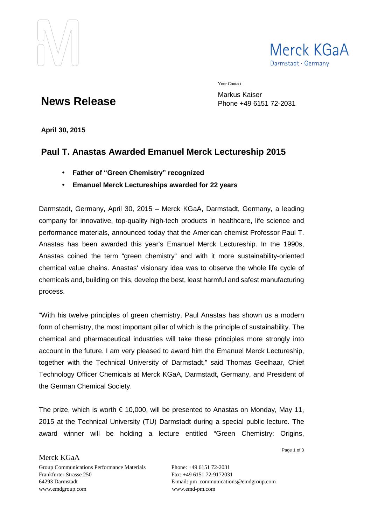



Your Contact

**News Release**

Markus Kaiser Phone +49 6151 72-2031

**April 30, 2015** 

# **Paul T. Anastas Awarded Emanuel Merck Lectureship 2015**

- **Father of "Green Chemistry" recognized**
- **Emanuel Merck Lectureships awarded for 22 years**

Darmstadt, Germany, April 30, 2015 – Merck KGaA, Darmstadt, Germany, a leading company for innovative, top-quality high-tech products in healthcare, life science and performance materials, announced today that the American chemist Professor Paul T. Anastas has been awarded this year's Emanuel Merck Lectureship. In the 1990s, Anastas coined the term "green chemistry" and with it more sustainability-oriented chemical value chains. Anastas' visionary idea was to observe the whole life cycle of chemicals and, building on this, develop the best, least harmful and safest manufacturing process.

"With his twelve principles of green chemistry, Paul Anastas has shown us a modern form of chemistry, the most important pillar of which is the principle of sustainability. The chemical and pharmaceutical industries will take these principles more strongly into account in the future. I am very pleased to award him the Emanuel Merck Lectureship, together with the Technical University of Darmstadt," said Thomas Geelhaar, Chief Technology Officer Chemicals at Merck KGaA, Darmstadt, Germany, and President of the German Chemical Society.

The prize, which is worth  $\epsilon$  10,000, will be presented to Anastas on Monday, May 11, 2015 at the Technical University (TU) Darmstadt during a special public lecture. The award winner will be holding a lecture entitled "Green Chemistry: Origins,

Page 1 of 3

Merck KGaA Group Communications Performance Materials Phone: +49 6151 72-2031 Frankfurter Strasse 250 Fax: +49 6151 72-9172031 www.emdgroup.com www.emd-pm.com

64293 Darmstadt E-mail: pm\_communications@emdgroup.com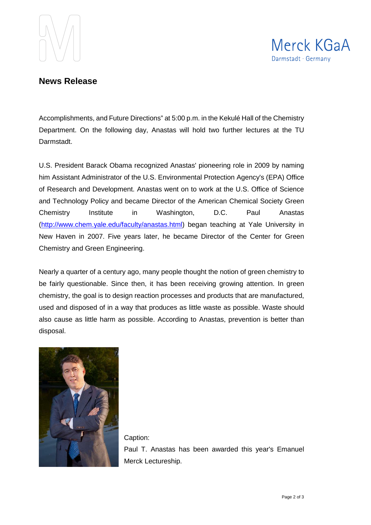



## **News Release**

Accomplishments, and Future Directions" at 5:00 p.m. in the Kekulé Hall of the Chemistry Department. On the following day, Anastas will hold two further lectures at the TU Darmstadt.

U.S. President Barack Obama recognized Anastas' pioneering role in 2009 by naming him Assistant Administrator of the U.S. Environmental Protection Agency's (EPA) Office of Research and Development. Anastas went on to work at the U.S. Office of Science and Technology Policy and became Director of the American Chemical Society Green Chemistry Institute in Washington, D.C. Paul Anastas (http://www.chem.yale.edu/faculty/anastas.html) began teaching at Yale University in New Haven in 2007. Five years later, he became Director of the Center for Green Chemistry and Green Engineering.

Nearly a quarter of a century ago, many people thought the notion of green chemistry to be fairly questionable. Since then, it has been receiving growing attention. In green chemistry, the goal is to design reaction processes and products that are manufactured, used and disposed of in a way that produces as little waste as possible. Waste should also cause as little harm as possible. According to Anastas, prevention is better than disposal.



Caption: Paul T. Anastas has been awarded this year's Emanuel Merck Lectureship.